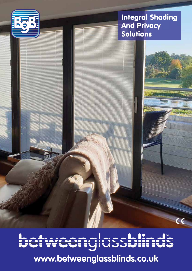

#### Integral Shading And Privacy Solutions

 $\epsilon$ 

hetweenglassblinds **www.betweenglassblinds.co.uk**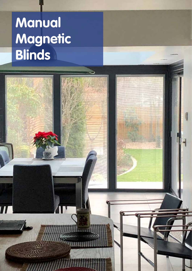# **Manual Magnetic Blinds**

 $\overline{I}$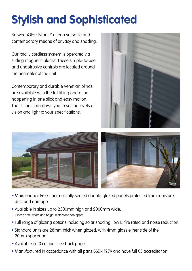## **Stylish and Sophisticated**

BetweenGlassBlinds™ offer a versatile and contemporary means of privacy and shading.

Our totally cordless system is operated via sliding magnetic blocks. These simple-to-use and unobtrusive controls are located around the perimeter of the unit.

Contemporary and durable Venetian blinds are available with the full lifting operation happening in one slick and easy motion. The tilt function allows you to set the levels of vision and light to your specifications.





- Maintenance Free hermetically sealed double-glazed panels protected from moisture, dust and damage.
- Available in sizes up to 2500mm high and 2000mm wide. (Please note, width and height restrictions can apply).
- Full range of glazing options including solar shading, low E, fire rated and noise reduction.
- Standard units are 28mm thick when glazed, with 4mm glass either side of the 20mm spacer bar.
- Available in 10 colours (see back page).
- Manufactured in accordance with all parts BSEN 1279 and have full CE accreditation.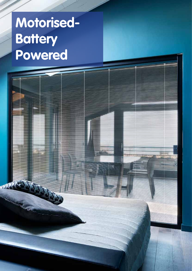# **Motorised-Battery Powered**

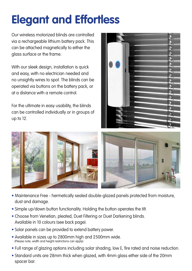## **Elegant and Effortless**

Our wireless motorized blinds are controlled via a rechargeable lithium battery pack. This can be attached magnetically to either the glass surface or the frame.

With our sleek design, installation is quick and easy, with no electrician needed and no unsightly wires to spot. The blinds can be operated via buttons on the battery pack, or at a distance with a remote control.

For the ultimate in easy usability, the blinds can be controlled individually or in groups of up to 12.





- Maintenance Free hermetically sealed double-glazed panels protected from moisture, dust and damage.
- Simple up/down button functionality. Holding the button operates the tilt.
- Choose from Venetian, pleated, Duet Filtering or Duet Darkening blinds. Available in 10 colours (see back page).
- Solar panels can be provided to extend battery power.
- Available in sizes up to 2800mm high and 2500mm wide. (Please note, width and height restrictions can apply).
- Full range of glazing options including solar shading, low E, fire rated and noise reduction.
- Standard units are 28mm thick when glazed, with 4mm glass either side of the 20mm spacer bar.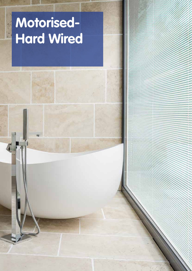## **Motorised-Hard Wired**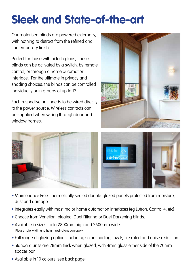#### **Sleek and State-of-the-art**

Our motorised blinds are powered externally, with nothing to detract from the refined and contemporary finish.

Perfect for those with hi tech plans, these blinds can be activated by a switch, by remote control, or through a home automation interface. For the ultimate in privacy and shading choices, the blinds can be controlled individually or in groups of up to 12.

Each respective unit needs to be wired directly to the power source. Wireless contacts can be supplied when wiring through door and window frames.







- Maintenance Free hermetically sealed double-glazed panels protected from moisture, dust and damage.
- Integrates easily with most major home automation interfaces (eg Lutron, Control 4, etc)
- Choose from Venetian, pleated, Duet Filtering or Duet Darkening blinds.
- Available in sizes up to 2800mm high and 2500mm wide. (Please note, width and height restrictions can apply).
- Full range of glazing options including solar shading, low E, fire rated and noise reduction.
- Standard units are 28mm thick when glazed, with 4mm glass either side of the 20mm spacer bar.
- Available in 10 colours (see back page).